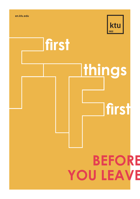

**first**



# **first**

### **BEFORE YOU LEAVE**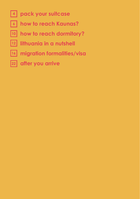- **pack your suitcase 4**
- **how to reach Kaunas? 6**
- **how to reach dormitory? 10**
- **lithuania in a nutshell 12**
- **migration formalities/visa 16**
- **after you arrive 22**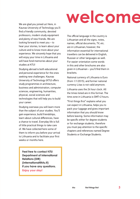### **welcome**

We are glad you joined us! Here, in Kaunas University of Technology you'll find a friendly community, devoted professors, modern study equipment and plenty of new friends. We are looking forward to meet you – to hear your stories, to learn about your culture and to know more about your experience. We sincerely hope that you will enjoy your time in Lithuania and will have fond memories about your studies at KTU!

Studying abroad is both educational and personal experience for the ones seeking new challenges. Kaunas University of Technology (KTU) offers study programmes in architecture, business and administration, computer sciences, engineering, humanities, physical, social sciences and technologies that will help you to build your career.

Studying overseas you will learn more than the subject of your studies. You'll gain experience, build friendships, learn about cultural differences, have a chance to travel. Everyday life is full of little practical things to take care of. We have collected here some of them to inform you before your arrival to Lithuania and to facilitate your first weeks or months here.

The official language in the country is Lithuanian and all the signs, notes, names, official documents, TV, etc. are in Lithuanian; however, the information essential for international travellers can be delivered in English, Russian or other languages as well. For easier orientation some words in this and other brochures are also given in Lithuanian – you'll find them in brackets.

National currency of Lithuania is Euro (from 1/1/2015), and former national currency Litas is not valid anymore.

Lithuania uses the 24 hour clock. All the times listed are in this format. The time zone in Lithuania is GMT+2 hours.

"First things first" explains what you can expect in Lithuania, helps you to pack your luggage and gives important information that you should know before leaving. Some information may be specific either for degree students or for exchange students, therefore you must pay attention to the specific chapters and references named Degree Students or Exchange Students.

**Feel free to contact KTU Department of International Relations (DIR) (international@ktu.lt) if you have any questions. Enjoy your stay!**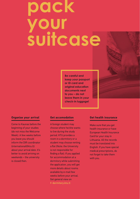### **pack your suitcase**

**Be careful and keep your passport or ID card and original education documents next to you – do not leave them in your check-in luggage!**

### **Organise your arrival**

Come to Kaunas before the beginning of your studies (do not miss the Welcome Week). A few weeks before you leave you should inform the DIR coordinator (international@ktu.lt) about your arrival date. It's better to avoid arriving on weekends – the university is closed then.

### **Get accomodation**

A foreign student may choose where he/she wants to live during the study period. KTU provides a room in a dormitory or a student may choose renting a flat (Note: the University is not responsible for finding a flat). If you applied for accommodation at a dormitory while submitting the application, you will get more details about rooms available by e-mail few weeks before your arrival. Get general view on ▶ dormitory.ktu.lt

### **Get health insurance**

Make sure that you get health insurance or have European Health Insurance Card for your stay in Lithuania. All the records must be translated into English. If you have special medical prescriptions, do not forget to take them with you.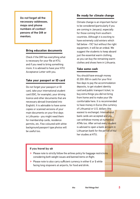**Do not forget all the necessary addresses, maps and phone numbers of contact persons of the DIR or mentors.**

### **Bring education documents**

Check if the DIR has everything what is necessary for your file at KTU, and if you need to bring something more. It is advised to have your KTU Acceptance Letter with you.

### **Take your passport or ID card**

Do not forget your passport or ID card, take your international student card (ISIC, for example), your driving licence and other documents that are necessary abroad (translated into English). It is advisable to have some copies or scanned versions of your main documents on your first days in Lithuania - you might need them for membership cards, residence permits, etc. Few coloured with white background passport type photos will be useful too.

### **Be ready for climate change**

Climate change is an important factor to be considered (particularly if you are coming in January), especially for those coming from southern countries. Although it is exciting to have extremely cold winters which fall below -15C $^{\circ}$  but without the right equipment, it will be an ordeal. We suggest the students to keep aboard just the essential warm clothing. as you can buy the remaining warm clothes and shoes here in Lithuania.

### **Take some cash**

You should have enough money (€ 200-300 in cash) for your first few days to pay the accommodation deposits, to get student identity card and public transport ticket, to buy extra things you did not bring from home and to make your life comfortable here. It is recommended to have money in Euros (the currency of Lithuania) or U.S. dollars (the easiest to exchange). International bank cards are accepted and you can withdraw money at numerous ATMs too. After arrival every student is advised to open a bank account in Lithuanian bank for the period of his/ her studies at KTU.

### **If you travel by air**

- ▶ Please note to strictly follow the airlines policy for baggage restrictions considering both weight issues and banned items on flight.
- ▶ Please note to also carry sufficient currency in either € or \$ while facing long stopovers at airports, for food and drink.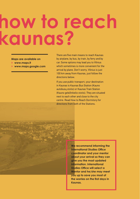## **how to reach kaunas?**

### **Maps are available on**

- ▶ **www.maps.lt**
- ▶ **www.maps.google.com**

**6 first things first ktu** 

There are five main means to reach Kaunas: by airplane, by bus, by train, by ferry and by car. Some options may lead you to Vilnius which sometimes is more convenient for the arrival by plane. Don't worry, Vilnius is just 100 km away from Kaunas, just follow the directions below.

If you use public transport, your destination in Kaunas is Kaunas Bus Station (Kauno autobusų stotis) or Kaunas Train Station (Kauno geležinkelio stotis). They are situated next to each other and close to the city centre. Read How to Reach Dormitory for directions from both of the Stations.

> **We recommend informing the International Studies Office coordinator and your mentor about your arrival so they can give you the most updated information. International Studies Office will select a Mentor and he/she may meet you up to save you most of the worries on the first days in Kaunas.**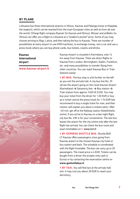### **BY PLANE**

Lithuania has three international airports in Vilnius, Kaunas and Palanga (close to Klaipėda, the seaport), which can be reached from the main European cities as well as from all over the world. CCheap flight company Ryanair (to Kaunas and Vilnius), Wizzair and airBaltic (to Vilnius) can offer you a flight to Lithuania at a "student's pocket" price. Some of you may choose arriving to Riga, Latvia, and then taking the bus to Kaunas. There are number of possibilities at every airport to use ATM machines, to exchange money, rent a car and use a press kiosk where you can buy phone cards, bus tickets, snacks and drinks.

### **Kaunas International Airport**

**www.kaunas-airport.lt**



Kaunas Airport is situated in Karmėlava, only 14 km away from Kaunas. There are direct flights to Kaunas from London, Birmingham, Dublin, Frankfurt, etc. and many possibilities to transfer flying from other countries. You can reach Kaunas Bus or Train Stations easily:

▶ BY BUS. The bus stop is a bit further on the left as you exit the arrivals hall. A city bus line No. 29 serves the airport going on the route Kaunas Airport (Karmėlava) **→** Savanorių Ave. **→** Bus station **→** Train station from approx. 5:00 till 23:00. You may buy your ticket from the driver for 1.00 EUR or buy an e-ticket card at the press kiosk for 1.74 EUR (we recommend to buy a single ticket for now, and then mentor will explain you about e-tickets later). After ~45 min. get off at the Railway station (Geležinkelio stotis). If you arrive to Kaunas on a late night flight, city bus No. 29E is for your convenience. The last bus leaves the airport for the city centre only after the last flight has arrived. You can check the bus route and exact timetables on ▶ www.kvt.lt

▶ **BY EXPRESS SHUTTLE BUS.** Shuttle BUS LT Kaunas offers passengers a bus going from Kaunas airport to the chosen Kaunas city hotel or bus station and back. The schedule is coordinated with the flight timetable. The bus can carry up to 20 passengers. The travel price is 4 EUR. Tickets can be bought from a driver (he accepts only cash in Euros) or by contacting the reservation centre on **www.goshuttlebus.lt**

▶ **BY TAXI.** You will find taxi at the arrivals hall exit. It may cost you about 20 EUR to reach your dormitory.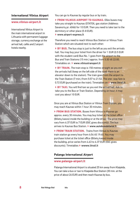### **International Vilnius Airport**

### **www.vilnius-airport.lt**

International Vilnius Airport is the main international airport in Lithuania with permanent luggage storage, currency exchange at the arrival hall, cafés and 2 airport hotels nearby.



You can go to Kaunas by regular bus or by train;

▶ **FROM VILNIUS AIRPORT TO KAUNAS.** Ollex buses may take you straight to Kaunas (STATOIL gas station (Address: Savanorių pr. 404b) for 10 EUR. Then you need to take taxi to the dormitory or other place (5-8 EUR).

▶ www.airport-express.lt

Therefore you need to reach Vilnius Bus Station or Vilnius Train Station which are situated next to each other:

▶ BY BUS. The bus stop is just to the left as you exit the arrivals hall. You may buy your ticket from the driver for 1 EUR (0.5 EUR with the student card) Bus No. 1 goes from the airport to the Bus and Train Stations (15 min.) approx. from 5:30 till 22:00. Timetables on ▶ www.vilniustransport.lt

▶ BY TRAIN. The train stop is 150 metres straight as you exit the arrivals hall (keep on the left side of the road; there is an elevator down to the station). The train goes from the airport to the Train Station (7 min.) from 5:57 to 21:52. The one- way fare is 0.72 EUR (purchased on the train). Timetables on ▶ www.litrail.lt

▶ **BY TAXI.** You will find taxi as you exit the arrival hall. Ask to take you to the Bus or Train Station. Depending on hour, it may cost you about 10 EUR.

Once you are at Vilnius Bus Station or Vilnius Train Station, you may reach Kaunas within 1 hour 30 minutes.

▶ FROM BUS STATION. Buses from Vilnius to Kaunas go approx. every 30 minutes. You may buy ticket at the ticket office (Bilietų kasos) inside the building or at the driver. The price may vary from 6.37 EUR to 7 EUR (ISIC gives discounts). The bus arrives to Kaunas Bus Station. ▶ www.autobusubilietai.lt

▶ **FROM TRAIN STATION.** Trains from Vilnius to Kaunas train station go every hour from 4:54 till 19:40. You may purchase ticket at the ticket office (Bilietų kasos) inside the building, price varies from 4.63 to 6.37 EUR (ISIC gives discounts). Timetables ▶ wwww.litrail.lt

### **Palanga International Airport**

### **www.palanga-airport.lt**

Palanga International Airport is situated 25 km away from Klaipėda. You can take a bus or taxi to Klaipėda Bus Station (30 min. at the price of about 26 EUR) and then reach Kaunas by bus.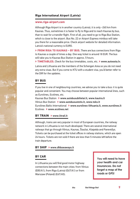### **Riga International Airport (Latvia)**

### **www.riga-airport.com**

Although Riga Airport is in another country (Latvia), it is only ~260 km from Kaunas. Thus, sometimes it is faster to fly to Riga and to reach Kaunas by bus, than to wait for a transfer flight. First of all, you need to go to Riga Bus Station, which is close to the airport. Bus No. 22 or Airport Express minibus will take you there for a reasonable price. Check airport website for detailed information. Latvia's national currency is EURO.

▶ FROM RIGA TO KAUNAS - BY BUS. There are bus connections from Riga to Kaunas a couple of times a day. One way ticket is around 18 EUR. The bus will take you to Kaunas Bus Station in approx. 5 hours.

▶ **TIMETABLES.** Check for the bus timetables, costs, etc. ▶ www.autoosta.lv.

Latvia and Lithuania are the members of the Schengen Area so you do not need any extra visas. But if you come to KTU with a student visa, you'd better refer to the DIR for the updates.

### **BY BUS**

If you live in one of neighbouring countries, we advise you to take a bus: it is quite popular and convenient. You may choose between popular international lines, such as Eurolines, Ecolines, etc.

Kaunas Bus Station▶ www.autobusubilietai.lt, www.kautra.lt Vilnius Bus Station▶ www.autobusustotis.lt, www.toks.lt Eurolines Baltic International▶ www.eurolines-lithuania.lt, www.eurolines.lt Ecolines▶ www.ecolines.net

### **BY TRAIN** ▶ www.litrail.lt

Although, trains are very popular in most of European countries, the railway network in Lithuania is not much developed. There are several international railways that go through Vilnius, Kaunas, Šiauliai, Klaipėda and Panevėžys. Tickets can be purchased at the ticket offices in railway stations, which are open 24 hours. Tickets are not sold if there are less than 5 minutes left before the train departure.

### **BY SHIP** ▶ www.dfdsseaways.lt

### **BY CAR**

In Lithuania you will find good motor highway connections between the main cities: from Vilnius (E85/A1), from Riga (Latvia) (E67/A1) or from Warszaw (Poland) (E67/A5).

**You will need to have your health and car insurances. Do not forget a map of the roads or GPS!**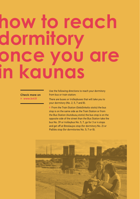## **how to reach dormitory once you are in kaunas**

### **Check more on** ▶ **www.kvt.lt**

Use the following directions to reach your dormitory from bus or train station:

There are buses or trolleybuses that will take you to your dormitory (No. 2, 5, 7 and 8).

▶ From the Train Station (Geležinkelio stotis) the bus stop is on the same side as the Train Station or from the Bus Station (Autobusų stotis) the bus stop is on the opposite side of the street than the Bus Station take the bus No. 39 or trolleybus No. 5, 7, go for 3 or 4 stops and get off at Breslaujos stop (for dormitory No. 2) or Pašilės stop (for dormitories No. 5; 7 or 8).

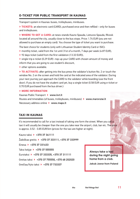### **E-TICKET FOR PUBLIC TRANSPORT IN KAUNAS**

Transport system in Kaunas: buses, trolleybuses, minibuses.

▶ **TICKETS:** an electronic card (CARD), purchased once and then refilled – only for buses and trolleybuses.

▶ **WHERE TO GET A CARD:** at news-stands Kauno Spauda, Lietuvos Spauda, Rkiosk located all around the city, usually close to the bus stops. Price: 1.74 EUR (you are not allowed to purchase an empty card). You choose the type of ticket you want to purchase.

The best choice for students (only with Lithuanian Student Identity Card or ISIC):

- $\triangleright$  monthly ticket, valid from the 1st until 31st of a month, 7 days per week (4.87 EUR).
- ▶ 92 days ticket (valid from the first validation (13.32 EUR)),

▶ single trip e-ticket (0.29 EUR) –top-up your CARD with chosen amount of money and inform that you are going to use student's discount,

▶ other options available.

▶ **TO ACTIVATE:** after getting into the bus press the validator's button No. 2 or touch the window No. 2 on the screen and hold the card at the indicated area of the validator. During your next journey just approach the CARD to the validator while boarding (use the front door). If you do not have the student card yet, buy a single ticket (0.58 EUR using e-ticket or 0.70 EUR purchased from the bus driver.)

### ▶ **MORE INFORMATION**

Kaunas Public Transport ▶ www.kvt.lt Routes and timetables (of buses, trolleybuses, minibuses) ▶ www.marsrutai.lt Necessary address online ▶ www.maps.lt

### **TAXI IN KAUNAS**

It's recommended to call for a taxi instead of taking one form the street. When you call a taxi it will usually be cheaper than the one you take near the airport, club, bar etc. The price is approx. 0.52 - 0.85 EUR/km (prices for the taxi are higher at night).

Kauno taksi ▶ +370 37 341111

Žaibiškas greitis ▶ +370 37 333111, +370 37 333999

Einesa ▶ +370 37 331633

Taksi kelyje ▶ +370 37 555555

Eurotaksi ▶ +370 37 333335, +370 37 311111

Greitas taksi ▶ +370 37 755550, +370 68 202020

Greičiau/Vyto taksi ▶ +370 37 733337

**Always take a taxi during the night going home from a club.** 

**Jakub Jawor from Poland**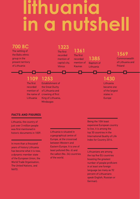### **lithuania in a nutshell**



Lithuania, the country of just over 3 million people was first mentioned in historic documents in 1009.

In more than a thousand years of history Lithuania has become what it is now, a dynamic member state of the European Union, the World Trade Organisation, The United Nations, and NATO.

Lithuania is situated in a geographical centre of Europe, at the crossroad between Western and Eastern Europe. It is one of least polluted (No. 6) and the safest (No. 24) countries of the world.

Being the 10th least expensive European country to live, it is among the top 30 countries in the International Quality of Life Index for Country 2014.

Lithuanians are among the top five EU countries boasting the greatest number of people proficient in at least one foreign language (as many as 92 percent of Lithuanians speak English, Russian or German).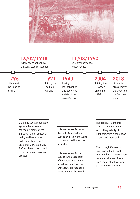



Lithuania uses an education system that meets all the requirements of the European Union education policy and has a three cycle education system (Bachelor's, Master's and PhD studies), corresponding to the European Bologna process.

Lithuania ranks 1st among the Baltic States, 3rd in Europe and 5th in the world in international investment projects.

Lithuania ranks 1st in Europe in the expansion of fibre optic and mobile broadband and has one of the fastest broadband connections in the world. The capital of Lithuania is Vilnius. Kaunas is the second largest city of Lithuania, with a population of over 300 thousand.

Even though Kaunas is an important industrial centre, it benefits from large recreational areas. There are 7 regional nature parks just outside of the city.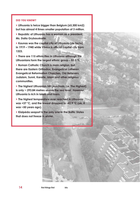### **DID YOU KNOW?**

▶ **Lithuania is twice bigger than Belgium (65,300 km2) but has almost 4 times smaller population of 3 million.**

▶ **Republic of Lithuania has a woman as a president, Ms. Dalia Grybauskaitė.**

▶ **Kaunas was the capital city of Lithuania (de facto) in 1919 – 1940 while Vilnius is official capital city from 1323.**

▶ **There are 115 ethnicities in Lithuania although the Lithuanians form the largest ethnic group – 83.5 %.**

▶ **Roman Catholic Church is main religion, but there are Eastern Orthodox, Evangelical Lutheran, Evangelical Reformation Churches, Old Believers, Judaism, Sunni, Karaite, Islam and other religious communities.**

▶ **The highest Lithuanian hill (Aukštasis, i.e. The Highest) is only ~ 293.84 metres above the sea level. However, Lithuania is rich in lakes and rivers.**

▶ **The highest temparature ever reached in Lithuania was +37 °C, and the lowest dropped to -42,9 °C (ok, it was ~50 years ago).**

▶ **Klaipėda seaport is the only one in the Baltic States that does not freeze in winter.**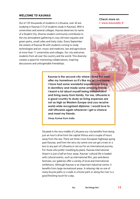### **WELCOME TO KAUNAS**

Out of 125 thousands of students in Lithuania, over 40 are studying in Kaunas (1/3 of students study in Kaunas). With 6 universities and several colleges, Kaunas deserves its name of a Student City. Diverse student community contributes to the city atmosphere gathering in cosy old town squares and green parks, small cafes and lively clubs. Every September the streets of Kaunas fill with students coming to study technologies and art, music and medicine, law and agriculture at more than 11 universities and colleges. Our city welcomes students from all over the country and the world. This diversity creates a space for interesting collaborations, inspiring discussions and unforgettable friendships.

**Check more on** ▶ **www.kaunastic.lt**



**Kaunas is the second city where I lived the most after my hometown so it's like my second home. I have had some wonderful experiences living in dormitory and made some amazing friends. I learnt a lot about myself being independent and living away from family. For me, Lithuania is a good country to study as living expenses are not as high as Western Europe and you receive world-wide recognised diploma. I would love to visit Lithuania again whenever I get a chance and meet my friends.**

**Vinay Kumar from India**

Situated in the very middle of Lithuania our city benefits from being just an hour's drive from the capital Vilnius and a couple of hours away from the sea. There are three cross-European highways going past Kaunas, and from the very city centre one can get a train or a bus to any part of Lithuania or set out for an international journey. For those who prefer travelling by plane, Kaunas International Airport is just a half an hour away. Kaunas' cultural life is loaded with cultural events, such as international film, jazz and dance festivals; our galleries offer a variety of local and international exhibitions. Although Kaunas is an important industrial centre, it benefits from large recreational areas. A relaxing ride on one of many bicycle paths or a walk in a forest park or along the river is a good finishing touch for a day.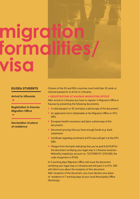

### **EU/EEA STUDENTS**

**Arrival to Lithuania** ▼

**Registration in Kaunas Migration Office**

**Declaration of place of residence**

▼

Citizens of the EU and EEA countries must hold their ID cards or national passports to arrive to Lithuania.

▶ **REGISTRATION AT KAUNAS MIGRATION OFFICE**

After arrival to Lithuania you have to register in Migration Office in Kaunas by presenting the following documents:

- ▶ A valid passport or ID card (plus a photocopy of the document).
- ▶ An application form (obtainable at the Migration Office or KTU DIR).
- ▶ European health insurance card (plus a photocopy of the document).
- ▶ Document proving that you have enough funds (e.g. bank statement).
- ▶ Certificate regarding enrolment at KTU (you will get it at the KTU DIR).
- ▶ Cheque from the bank indicating that you've paid 8.60 EUR for the document certifying your legal stay in Lithuania (receiver: Mokesčių inspekcija; account no. T247300010112394300; the code of payment is 5740).

In 5 working days Migration Office will issue the document certifying your legal stay in Lithuania and will post it to KTU. DIR will inform you about the reception of this document. After reception of the document, you must declare your place of residence in 7 working days at your local Municipality Office (Seniūnija).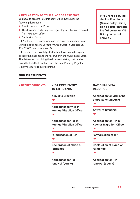### ▶ **DECLARATION OF YOUR PLACE OF RESIDENCE**

You have to present to Municipality Office (Seniūnija) the following documents:

- ▶ A valid passport or ID card.
- ▶ The document certifying your legal stay in Lithuania, received from Migration Office.
- ▶ Declaration form:

- If You live in KTU dormitory take the confirmation about your living place from KTU Dormitory Group Office in Gričiupio St. 13-102 (KTU dormitory No 10).

- If you rent a flat privately, declaration form has to be signed both by the student and the flat owner in the Municipality Office. The flat owner must bring the document stating that he/she owns the flat (Confirmation from the Real Property Register (Pažyma iš turto registrų centro)).

**If You rent a flat, the declaration place (Municipality Office) can be different (ask the flat owner or KTU DIR if you do not know it).**

### **NON EU STUDENTS**

### ▶ **DEGREE STUDENTS**

### **VISA FREE ENTRY TO LITHUANIA**

**Arrival to Lithuania**

▼

▼

▼

**Application for visa in Kaunas Migration Office** ▼

**Application for TRP in Kaunas Migration Office** ▼

**Formalisation of TRP**

**Declaration of place of residence**

**Application for TRP renewal (yearly)**

### **NATIONAL VISA REQUIRED**

**Application for visa in the embassy of Lithuania**

▼

**Arrival to Lithuania**  ▼

**Application for TRP in Kaunas Migration Office**

▼

▼

**Formalisation of TRP**

**Declaration of place of residence**

▼

**Application for TRP renewal (yearly)**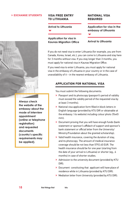### ▶ **EXCHANGE STUDENTS**



**Always check the website of the embassy about the mode of interview appointment (online or telephone registration) and requested documents (country's specific requirements may be applied).**

### **VISA FREE ENTRY TO LITHUANIA**

### **Arrival to Lithuania**

▼

**Application for visa in Kaunas Migration Office**

### **NATIONAL VISA REQUIRED**

**Application for visa in the embassy of Lithuania**

▼

**Arrival to Lithuania** 

If you do not need visa to enter Lithuania (for example, you are from Canada, Korea, Israel, etc.), you can come to Lithuania and stay here for 3 months without visa. If you stay longer than 3 months, you must apply for national visa in Kaunas Migration Office.

If you need visa to enter Lithuania, you must apply for national visa in the embassy of Lithuania in your country or in the case of unavailability of it – in the nearest embassy of Lithuania.

### **APPLICATION FOR NATIONAL VISA**

You must submit the following documents:

- ▶ Passport and its photocopy (passport's period of validity must exceed the validity period of the requested visa by at least 3 months).
- ▶ National visa application form filled in block letters in English language (provided by KTU DIR or obtainable at the embassy / its website) including colour photo 35x45 mm).
- ▶ Document proving that you will have enough funds (bank statement or sponsor's affidavit of support and sponsor's bank statement or official letter from the University/ Ministry/Foundation about the granted scholarship).
- ▶ Valid health insurance, covering the duration of stay. and its photocopy. The amount of medical insurance coverage should be not less than 5792.40 EUR. The health insurance should be for one year (starting from the date of your arrival to Lithuania) or shorter (eg., 6 months) in case of shorter studies.
- ▶ Admission to the university document (provided by KTU DIR).
- ▶ Document constituting that applicant will have place of residence while in Lithuania (provided by KTU DIR).
- ▶ Mediation letter from University (provided by KTU DIR).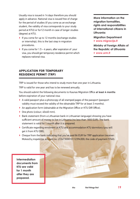Usually visa is issued in 14 days therefore you should apply in advance. National visa is issued free of charge for the period of studies (if you come as an exchange student, the validity of visa corresponds to your study period at KTU) or for12 month in case of longer studies (degree) at KTU.

- ▶ If you come for up to 12 months (exchange studies or internship), this is the last step in migration procedures.
- If you come for  $1.5 4$  years, after expiration of your visa, you should get temporary residence permit which replaces national visa.

**More information on the migration formalities, rights and responsibilities of international citizens in Lithuania:**

**Migration Department**  ▶ **www.migracija.lt**

**Ministry of Foreign Affairs of the Republic of Lithuania**  ▶ **www.urm.lt**

### **APPLICATION FOR TEMPORARY RESIDENCE PERMIT (TRP)**

TRP is issued for those who intend to study more than one year in Lithuania.

TRP is valid for one year and has to be renewed annually.

You should submit the following documents to Kaunas Migration Office at least 4 months before expiration of your national visa:

- ▶ A valid passport plus a photocopy of all stamped pages of the passport (passport validity must exceed the validity of the obtainable TRP for at least 3 months).
- ▶ An application form (obtainable at the Migration Office or KTU DIR Office).
- ▶ One photo (colour: 40x60 mm).
- $\triangleright$  Bank statement (from a Lithuanian bank in Lithuanian language) showing you have sufficient amount of money to live in Lithuania (no less than 1800 EUR). The bank statement is valid for 1 month after it is prepared.
- ▶ Certificate regarding enrolment at KTU and accommodation KTU dormitory (you will get it from KTU DIR).
- ▶ Cheque from the bank indicating that you've paid 86 EUR for TRP application (receiver: Mokesčių inspekcija; account no. LT247300010112394300; the code of payment 5740).

**Intermediation documents from KTU are valid for 1 month after they are prepared.**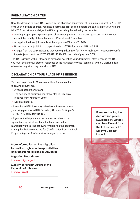### **FORMALISATION OF TRP**

Once the decision to issue TRP is given by the Migration department of Lithuania, it is sent to KTU DIR or to your indicated address. You should formalise TRP decision before the expiration of your visa and take TRP card at Kaunas Migration Office by providing the following documents:

- ▶ A valid passport plus a photocopy of all stamped pages of the passport (passport validity must exceed the validity of the obtainable TRP for at least 3 months).
- ▶ An application form (obtainable at the Migration Office or KTU DIR).
- ▶ Health insurance (valid till the expiration date of TRP) for at least 5792.40 EUR.
- ▶ Cheque from the bank indicating that you've paid 28 EUR for TRP formalisation (receiver: Mokesčių inspekcija; account no. LT247300010112394300; the code of payment 5740).

The TRP is issued within 10 working days after accepting your documents. After receiving the TRP, you must declare your place of residence at the Municipality Office (Seniūnija) within 7 working days, otherwise migration may cancel your TRP.

### **DECLARATION OF YOUR PLACE OF RESIDENCE**

You have to present to Municipality Office (Seniūnija) the following documents:

- ▶ A valid passport or ID card.
- ▶ The document certifying your legal stay in Lithuania, received from Migration Office.
- ▶ Declaration form:

- If You live in KTU dormitory take the confirmation about your living place from KTU Dormitory Group in Gričiupio St. 13-102 (KTU dormitory No 10).

- If you rent a flat privately, declaration form has to be signed both by the student and the flat owner in the municipality office. The flat owner must bring the document stating that he/she owns the flat (Confirmation from the Real Property Register (Pažyma iš turto registrų centro).

**More information on the migration formalities, rights and responsibilities of international citizens in Lithuania:**

### **Migration Department**

▶ **www.migracija.lt**

**Ministry of Foreign Affairs of the Republic of Lithuania** 

▶ **www.urm.lt**

**If You rent a flat, the declaration place (Municipality Office) can be different (ask the flat owner or KTU DIR if you do not know it).**

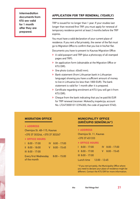**Intermediation documents from KTU are valid for 1 month after they are prepared.**

### **APPLICATION FOR TRP RENEWAL (YEARLY)**

TRP is issued for no longer than 1 year. If your studies last longer than received first TRP, you must apply for renewal of temporary residence permit at least 2 months before the TRP expires.

You must have a valid declaration of your current place of residence. If you rent a flat privately, the owner of the flat must go to Migration Office to confirm that you live in his/her flat.

Documents you have to present to Kaunas Migration Office:

- ▶ A valid passport and TRP (plus a photocopy of all stamped pages and TRP).
- ▶ An application form (obtainable at the Migration Office or KTU DIR).
- ▶ One photo (colour: 40x60 mm).
- ▶ Bank statement (from Lithuanian bank in Lithuanian language) showing you have a sufficient amount of money to live in Lithuania (no less than 1800 EUR). The bank statement is valid for 1 month after it is prepared.
- ▶ Certificate regarding enrolment at KTU (you will get it from KTU DIR).
- ▶ Cheque from the bank indicating that you've paid 86 EUR for TRP renewal (receiver: Mokesčių inspekcija; account No. LT247300010112394300; the code of payment 5740).

### **MIGRATION OFFICE**

### ▶ **ADDRESS**

Chemijos St. 4B–115, Kaunas +370 37 303246, +370 37 303247

### ▶ **OFFICE HOURS**

|                                              | $\vert$ 8:00 - 17:00 |    | $IV$ 8:00 - 17:00 |
|----------------------------------------------|----------------------|----|-------------------|
|                                              | $   8:00 - 18:00$    | V. | $8:00 - 15:45$    |
|                                              | $III$ 8:00 - 17:00   |    |                   |
| <b>Every first Wednesday</b><br>of the month |                      |    | $8:00 - 15:00$    |

### **MUNICIPALITY OFFICE (GRIČIUPIO SENIŪNIJA\*)**

### ▶ **ADDRESS**

Chemijos St. 11, Kaunas +370 37 451333

### ▶ **OFFICE HOURS**

| $18:00 - 17:00$          | $IV$ 8:00 - 17:00 |
|--------------------------|-------------------|
| $\parallel$ 8:00 - 17:00 | $V$ 8:00 - 15:45  |
| $III$ 8:00 - 17:00       |                   |

Lunch time 12:00 - 12:45

\* If you rent privately, the Municipality Office where you need to declare your place of residence might be different. Contact the KTU DIR for more information.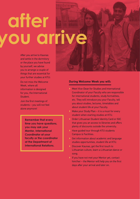# **after**  ou arrive

After you arrive to Kaunas and settle in the dormitory or the place you have found by yourself, we advise you to arrange a couple of things that are essential for your further studies at KTU:

Do not miss the Welcome Week, where all information is designed for you, the International Student.

Join the first meetings of students – you will not feel alone anymore!

> **Remember that every time you have questions, you may ask your Mentor, International Coordinator at your faculty or the coordinator at the Department of International Relations.**

### **During Welcome Week you will:**

- ▶ Meet Vice-Dean for Studies and International Coordinator of your Faculty who are responsible for international students, study formalities, etc. They will introduce you your Faculty, tell you about studies, lectures, timetables and about student life at your Faculty.
- ▶ Make your Study Plan it is a must for every student when starting studies at KTU.
- ▶ Order Lithuanian Student Identity Card or ISIC that gives you an access to libraries and offers plenty of discounts outside the university.
- ▶ Have guided tour through KTU students Campus & Facilities.
- ▶ Get information about academic and language studies opportunities, student life at KTU.
- ▶ Discover Kaunas, get the first touch to Lithuanian culture, learn a Lithuanian dance or song.
- ▶ If you have not met your Mentor yet, contact him/her – the Mentor will help you on the first days after your arrival and later on.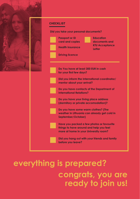

### **ktu first things first 23 ready to join us!everything is prepared? congrats, you are**